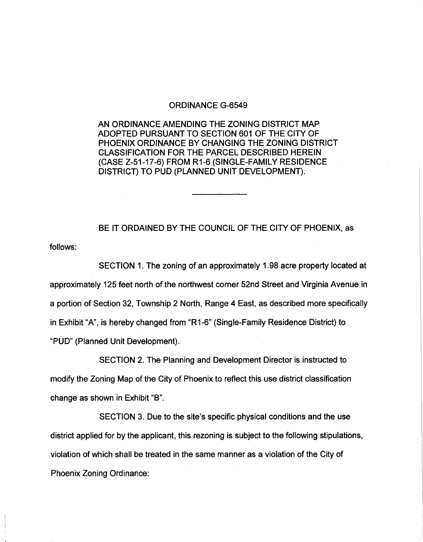## ORDINANCE G-6549

AN ORDINANCE AMENDING THE ZONING DISTRICT MAP ADOPTED PURSUANT TO SECTION 601 OF THE CITY OF PHOENIX ORDINANCE BY CHANGING THE ZONING DISTRICT CLASSIFICATION FOR THE PARCEL DESCRIBED HEREIN (CASE Z-51-17-6) FROM R1-6 (SINGLE-FAMILY RESIDENCE DISTRICT) TO PUD (PLANNED UNIT DEVELOPMENT).

follows: BE IT ORDAINED BY THE COUNCIL OF THE CITY OF PHOENIX, as

SECTION 1. The zoning of an approximately 1.98 acre property located at approximately 125 feet north of the northwest corner 52nd Street and Virginia Avenue in a portion of Section 32, Township 2 North, Range 4 East, as described more specifically in Exhibit "A", is hereby changed from "R1-6" (Single-Family Residence District) to "PUD" (Planned Unit Development).

SECTION 2. The Planning and Development Director is instructed to modify the Zoning Map of the City of Phoenix to reflect this use district classification change as shown in Exhibit "B".

SECTION 3. Due to the site's specific physical conditions and the use district applied for by the applicant, this rezoning is subject to the following stipulations, violation of which shall be treated in the same manner as a violation of the City of Phoenix Zoning Ordinance: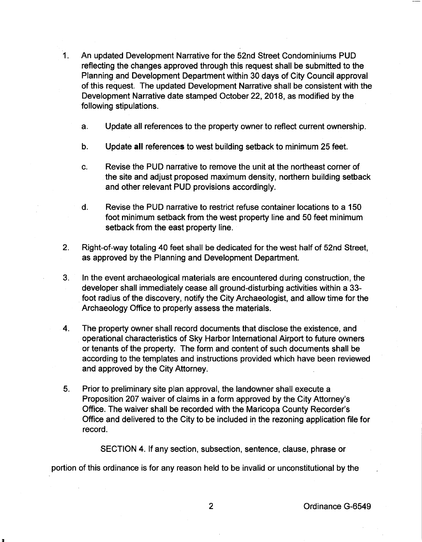- 1. An updated Development Narrative for the 52nd Street Condominiums PUD reflecting the changes approved through this request shall be submitted to the Planning and Development Department within 30 days of City Council approval of this request. The updated Development Narrative shall be consistent with the Development Narrative date stamped October 22, 2018, as modified by the following stipulations.
	- a. Update all references to the property owner to reflect current ownership.
	- b. Update all references to west building setback to minimum 25 feet.
	- c. Revise the PUD narrative to remove the unit at the northeast corner of the site and adjust proposed maximum density, northern building setback and other relevant PUD provisions accordingly.
	- d. Revise the PUD narrative to restrict refuse container locations to a 150 foot minimum setback from the west property line and 50 feet minimum setback from the east property line.
- 2. Right-of-way totaling 40 feet shall be dedicated for the west half of 52nd Street, as approved by the Planning and Development Department.
- 3. In the event archaeological materials are encountered during construction, the developer shall immediately cease all ground-disturbing activities within a 33 foot radius of the discovery, notify the City Archaeologist, and allow time for the Archaeology Office to properly assess the materials.
- 4. The property owner shall record documents that disclose the existence, and operational characteristics of Sky Harbor International Airport to future owners or tenants of the property. The form and content of such documents shall be according to the templates and instructions provided which have been reviewed and approved by the City Attorney.
- 5. Prior to preliminary site plan approval, the landowner shall execute a Proposition 207 waiver of claims in a form approved by the City Attorney's Office. The waiver shall be recorded with the Maricopa County Recorder's Office and delivered to the City to be included in the rezoning application file for record.

SECTION 4. If any section, subsection, sentence, clause, phrase or

portion of this ordinance is for any reason held to be invalid or unconstitutional by the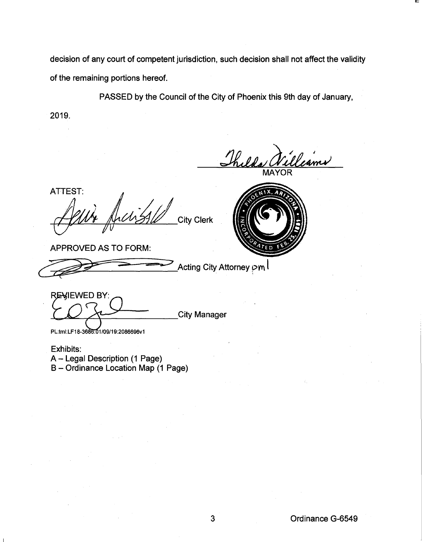decision of any court of competent jurisdiction, such decision shall not affect the validity of the remaining portions hereof.

PASSED by the Council of the City of Phoenix this 9th day of January,

2019.

Thelda Wel

ATTEST: **City Clerk** 

APPROVED AS TO FORM:

~;e=-:> 4:? Acting City Attorney pm l

REWIEWED BY: City Manager

PL:tml:LF18-3686:01/09/19:2086696v1

Exhibits: A- Legal Description (1 Page) B- Ordinance Location Map (1 Page)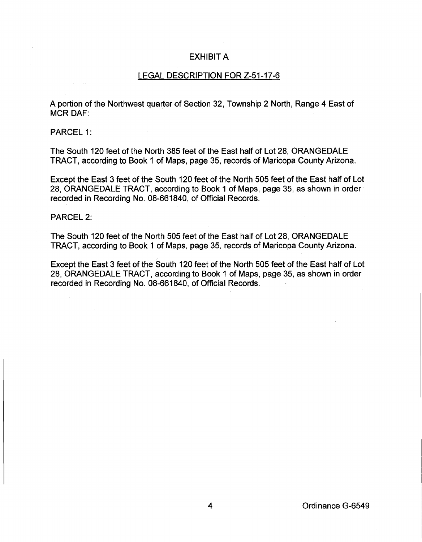## EXHIBIT A

## LEGAL DESCRIPTION FOR Z-51-17-6

A portion of the Northwest quarter of Section 32, Township 2 North, Range 4 East of MCR OAF:

PARCEL 1:

The South 120 feet of the North 385 feet of the East half of Lot 28, ORANGEDALE TRACT, according to Book 1 of Maps, page 35, records of Maricopa County Arizona.

Except the East 3 feet of the South 120 feet of the North 505 feet of the East half of Lot 28, ORANGEDALE TRACT, according to Book 1 of Maps, page 35, as shown in order recorded in Recording No. 08-661840, of Official Records.

PARCEL 2:

The South 120 feet of the North 505 feet of the East half of Lot 28, ORANGEDALE TRACT, according to Book 1 of Maps, page 35, records of Maricopa County Arizona.

Except the East 3 feet of the South 120 feet of the North 505 feet of the East half of Lot 28, ORANGEDALE TRACT, according to Book 1 of Maps, page 35, as shown in order recorded in Recording No. 08-661840, of Official Records.